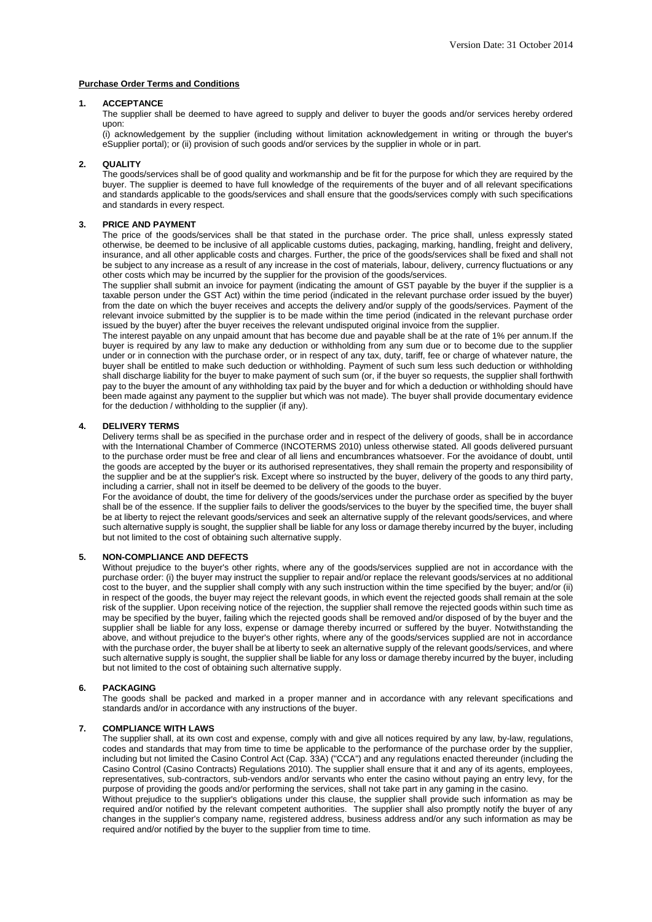# **Purchase Order Terms and Conditions**

### **1. ACCEPTANCE**

The supplier shall be deemed to have agreed to supply and deliver to buyer the goods and/or services hereby ordered upon:

(i) acknowledgement by the supplier (including without limitation acknowledgement in writing or through the buyer's eSupplier portal); or (ii) provision of such goods and/or services by the supplier in whole or in part.

# **2. QUALITY**

The goods/services shall be of good quality and workmanship and be fit for the purpose for which they are required by the buyer. The supplier is deemed to have full knowledge of the requirements of the buyer and of all relevant specifications and standards applicable to the goods/services and shall ensure that the goods/services comply with such specifications and standards in every respect.

## **3. PRICE AND PAYMENT**

The price of the goods/services shall be that stated in the purchase order. The price shall, unless expressly stated otherwise, be deemed to be inclusive of all applicable customs duties, packaging, marking, handling, freight and delivery, insurance, and all other applicable costs and charges. Further, the price of the goods/services shall be fixed and shall not be subject to any increase as a result of any increase in the cost of materials, labour, delivery, currency fluctuations or any other costs which may be incurred by the supplier for the provision of the goods/services.

The supplier shall submit an invoice for payment (indicating the amount of GST payable by the buyer if the supplier is a taxable person under the GST Act) within the time period (indicated in the relevant purchase order issued by the buyer) from the date on which the buyer receives and accepts the delivery and/or supply of the goods/services. Payment of the relevant invoice submitted by the supplier is to be made within the time period (indicated in the relevant purchase order issued by the buyer) after the buyer receives the relevant undisputed original invoice from the supplier.

The interest payable on any unpaid amount that has become due and payable shall be at the rate of 1% per annum.If the buyer is required by any law to make any deduction or withholding from any sum due or to become due to the supplier under or in connection with the purchase order, or in respect of any tax, duty, tariff, fee or charge of whatever nature, the buyer shall be entitled to make such deduction or withholding. Payment of such sum less such deduction or withholding shall discharge liability for the buyer to make payment of such sum (or, if the buyer so requests, the supplier shall forthwith pay to the buyer the amount of any withholding tax paid by the buyer and for which a deduction or withholding should have been made against any payment to the supplier but which was not made). The buyer shall provide documentary evidence for the deduction / withholding to the supplier (if any).

# **4. DELIVERY TERMS**

Delivery terms shall be as specified in the purchase order and in respect of the delivery of goods, shall be in accordance with the International Chamber of Commerce (INCOTERMS 2010) unless otherwise stated. All goods delivered pursuant to the purchase order must be free and clear of all liens and encumbrances whatsoever. For the avoidance of doubt, until the goods are accepted by the buyer or its authorised representatives, they shall remain the property and responsibility of the supplier and be at the supplier's risk. Except where so instructed by the buyer, delivery of the goods to any third party, including a carrier, shall not in itself be deemed to be delivery of the goods to the buyer.

For the avoidance of doubt, the time for delivery of the goods/services under the purchase order as specified by the buyer shall be of the essence. If the supplier fails to deliver the goods/services to the buyer by the specified time, the buyer shall be at liberty to reject the relevant goods/services and seek an alternative supply of the relevant goods/services, and where such alternative supply is sought, the supplier shall be liable for any loss or damage thereby incurred by the buyer, including but not limited to the cost of obtaining such alternative supply.

# **5. NON-COMPLIANCE AND DEFECTS**

Without prejudice to the buyer's other rights, where any of the goods/services supplied are not in accordance with the purchase order: (i) the buyer may instruct the supplier to repair and/or replace the relevant goods/services at no additional cost to the buyer, and the supplier shall comply with any such instruction within the time specified by the buyer; and/or (ii) in respect of the goods, the buyer may reject the relevant goods, in which event the rejected goods shall remain at the sole risk of the supplier. Upon receiving notice of the rejection, the supplier shall remove the rejected goods within such time as may be specified by the buyer, failing which the rejected goods shall be removed and/or disposed of by the buyer and the supplier shall be liable for any loss, expense or damage thereby incurred or suffered by the buyer. Notwithstanding the above, and without prejudice to the buyer's other rights, where any of the goods/services supplied are not in accordance with the purchase order, the buyer shall be at liberty to seek an alternative supply of the relevant goods/services, and where such alternative supply is sought, the supplier shall be liable for any loss or damage thereby incurred by the buyer, including but not limited to the cost of obtaining such alternative supply.

### **6. PACKAGING**

The goods shall be packed and marked in a proper manner and in accordance with any relevant specifications and standards and/or in accordance with any instructions of the buyer.

# **7. COMPLIANCE WITH LAWS**

The supplier shall, at its own cost and expense, comply with and give all notices required by any law, by-law, regulations, codes and standards that may from time to time be applicable to the performance of the purchase order by the supplier, including but not limited the Casino Control Act (Cap. 33A) ("CCA") and any regulations enacted thereunder (including the Casino Control (Casino Contracts) Regulations 2010). The supplier shall ensure that it and any of its agents, employees, representatives, sub-contractors, sub-vendors and/or servants who enter the casino without paying an entry levy, for the purpose of providing the goods and/or performing the services, shall not take part in any gaming in the casino.

Without prejudice to the supplier's obligations under this clause, the supplier shall provide such information as may be required and/or notified by the relevant competent authorities. The supplier shall also promptly notify the buyer of any changes in the supplier's company name, registered address, business address and/or any such information as may be required and/or notified by the buyer to the supplier from time to time.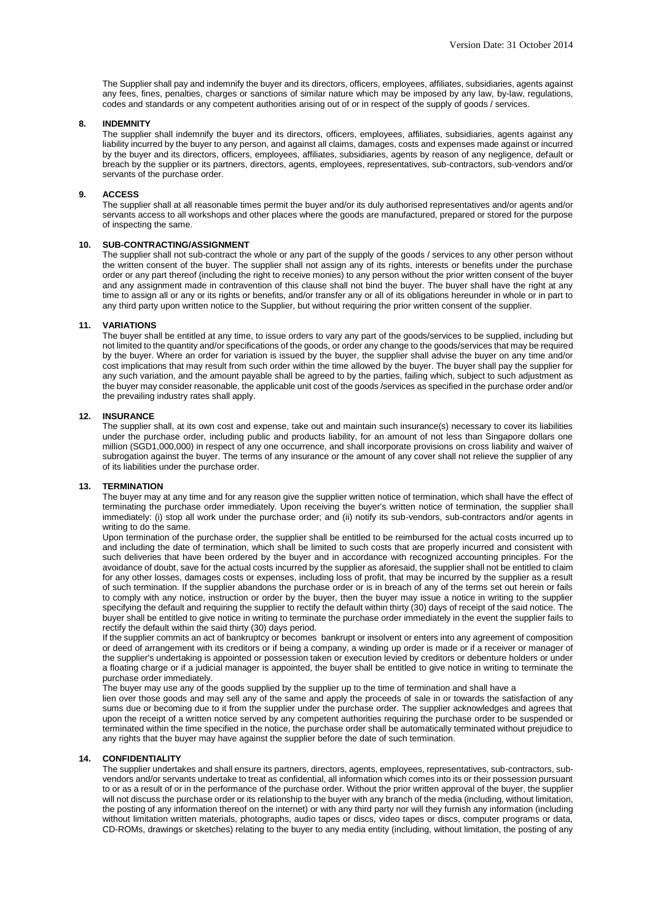The Supplier shall pay and indemnify the buyer and its directors, officers, employees, affiliates, subsidiaries, agents against any fees, fines, penalties, charges or sanctions of similar nature which may be imposed by any law, by-law, regulations, codes and standards or any competent authorities arising out of or in respect of the supply of goods / services.

### **8. INDEMNITY**

The supplier shall indemnify the buyer and its directors, officers, employees, affiliates, subsidiaries, agents against any liability incurred by the buyer to any person, and against all claims, damages, costs and expenses made against or incurred by the buyer and its directors, officers, employees, affiliates, subsidiaries, agents by reason of any negligence, default or breach by the supplier or its partners, directors, agents, employees, representatives, sub-contractors, sub-vendors and/or servants of the purchase order.

#### **9. ACCESS**

The supplier shall at all reasonable times permit the buyer and/or its duly authorised representatives and/or agents and/or servants access to all workshops and other places where the goods are manufactured, prepared or stored for the purpose of inspecting the same.

# **10. SUB-CONTRACTING/ASSIGNMENT**

The supplier shall not sub-contract the whole or any part of the supply of the goods / services to any other person without the written consent of the buyer. The supplier shall not assign any of its rights, interests or benefits under the purchase order or any part thereof (including the right to receive monies) to any person without the prior written consent of the buyer and any assignment made in contravention of this clause shall not bind the buyer. The buyer shall have the right at any time to assign all or any or its rights or benefits, and/or transfer any or all of its obligations hereunder in whole or in part to any third party upon written notice to the Supplier, but without requiring the prior written consent of the supplier.

#### **11. VARIATIONS**

The buyer shall be entitled at any time, to issue orders to vary any part of the goods/services to be supplied, including but not limited to the quantity and/or specifications of the goods, or order any change to the goods/services that may be required by the buyer. Where an order for variation is issued by the buyer, the supplier shall advise the buyer on any time and/or cost implications that may result from such order within the time allowed by the buyer. The buyer shall pay the supplier for any such variation, and the amount payable shall be agreed to by the parties, failing which, subject to such adjustment as the buyer may consider reasonable, the applicable unit cost of the goods /services as specified in the purchase order and/or the prevailing industry rates shall apply.

### **12. INSURANCE**

The supplier shall, at its own cost and expense, take out and maintain such insurance(s) necessary to cover its liabilities under the purchase order, including public and products liability, for an amount of not less than Singapore dollars one million (SGD1,000,000) in respect of any one occurrence, and shall incorporate provisions on cross liability and waiver of subrogation against the buyer. The terms of any insurance or the amount of any cover shall not relieve the supplier of any of its liabilities under the purchase order.

### **13. TERMINATION**

The buyer may at any time and for any reason give the supplier written notice of termination, which shall have the effect of terminating the purchase order immediately. Upon receiving the buyer's written notice of termination, the supplier shall immediately: (i) stop all work under the purchase order; and (ii) notify its sub-vendors, sub-contractors and/or agents in writing to do the same.

Upon termination of the purchase order, the supplier shall be entitled to be reimbursed for the actual costs incurred up to and including the date of termination, which shall be limited to such costs that are properly incurred and consistent with such deliveries that have been ordered by the buyer and in accordance with recognized accounting principles. For the avoidance of doubt, save for the actual costs incurred by the supplier as aforesaid, the supplier shall not be entitled to claim for any other losses, damages costs or expenses, including loss of profit, that may be incurred by the supplier as a result of such termination. If the supplier abandons the purchase order or is in breach of any of the terms set out herein or fails to comply with any notice, instruction or order by the buyer, then the buyer may issue a notice in writing to the supplier specifying the default and requiring the supplier to rectify the default within thirty (30) days of receipt of the said notice. The buyer shall be entitled to give notice in writing to terminate the purchase order immediately in the event the supplier fails to rectify the default within the said thirty (30) days period.

If the supplier commits an act of bankruptcy or becomes bankrupt or insolvent or enters into any agreement of composition or deed of arrangement with its creditors or if being a company, a winding up order is made or if a receiver or manager of the supplier's undertaking is appointed or possession taken or execution levied by creditors or debenture holders or under a floating charge or if a judicial manager is appointed, the buyer shall be entitled to give notice in writing to terminate the purchase order immediately.

The buyer may use any of the goods supplied by the supplier up to the time of termination and shall have a

lien over those goods and may sell any of the same and apply the proceeds of sale in or towards the satisfaction of any sums due or becoming due to it from the supplier under the purchase order. The supplier acknowledges and agrees that upon the receipt of a written notice served by any competent authorities requiring the purchase order to be suspended or terminated within the time specified in the notice, the purchase order shall be automatically terminated without prejudice to any rights that the buyer may have against the supplier before the date of such termination.

### **14. CONFIDENTIALITY**

The supplier undertakes and shall ensure its partners, directors, agents, employees, representatives, sub-contractors, subvendors and/or servants undertake to treat as confidential, all information which comes into its or their possession pursuant to or as a result of or in the performance of the purchase order. Without the prior written approval of the buyer, the supplier will not discuss the purchase order or its relationship to the buyer with any branch of the media (including, without limitation, the posting of any information thereof on the internet) or with any third party nor will they furnish any information (including without limitation written materials, photographs, audio tapes or discs, video tapes or discs, computer programs or data, CD-ROMs, drawings or sketches) relating to the buyer to any media entity (including, without limitation, the posting of any